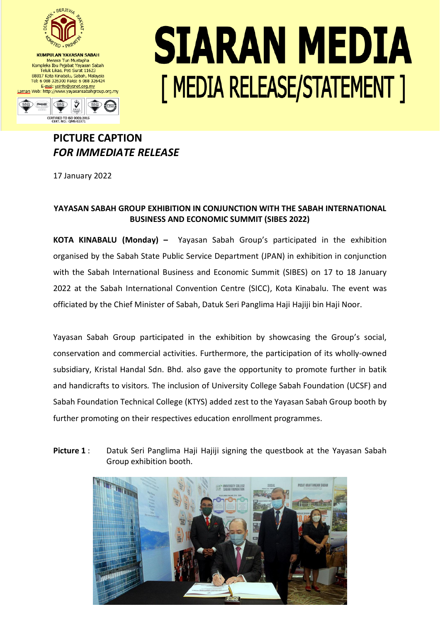

**KUMPULAN YAYASAN SABAH** Menara Tun Mustapha Kompleks Ibu Pejabat Yayasan Sabah<br>Teluk Likas, Peti Surat 11623 88817 Kota Kinabalu, Sabah, Malaysia<br>Tel: 6 088 326300 Faks: 6 088 326424 E-mel: ysinfo@ysnet.org.my<br>Laman Web: http://www.yayasansabahgroup.org.my



## SIARAN MEDIA [ MEDIA RELEASE/STATEMENT ]

## **PICTURE CAPTION** *FOR IMMEDIATE RELEASE*

17 January 2022

## **YAYASAN SABAH GROUP EXHIBITION IN CONJUNCTION WITH THE SABAH INTERNATIONAL BUSINESS AND ECONOMIC SUMMIT (SIBES 2022)**

**KOTA KINABALU (Monday) –** Yayasan Sabah Group's participated in the exhibition organised by the Sabah State Public Service Department (JPAN) in exhibition in conjunction with the Sabah International Business and Economic Summit (SIBES) on 17 to 18 January 2022 at the Sabah International Convention Centre (SICC), Kota Kinabalu. The event was officiated by the Chief Minister of Sabah, Datuk Seri Panglima Haji Hajiji bin Haji Noor.

Yayasan Sabah Group participated in the exhibition by showcasing the Group's social, conservation and commercial activities. Furthermore, the participation of its wholly-owned subsidiary, Kristal Handal Sdn. Bhd. also gave the opportunity to promote further in batik and handicrafts to visitors*.* The inclusion of University College Sabah Foundation (UCSF) and Sabah Foundation Technical College (KTYS) added zest to the Yayasan Sabah Group booth by further promoting on their respectives education enrollment programmes.

**Picture 1** : Datuk Seri Panglima Haji Hajiji signing the questbook at the Yayasan Sabah Group exhibition booth.